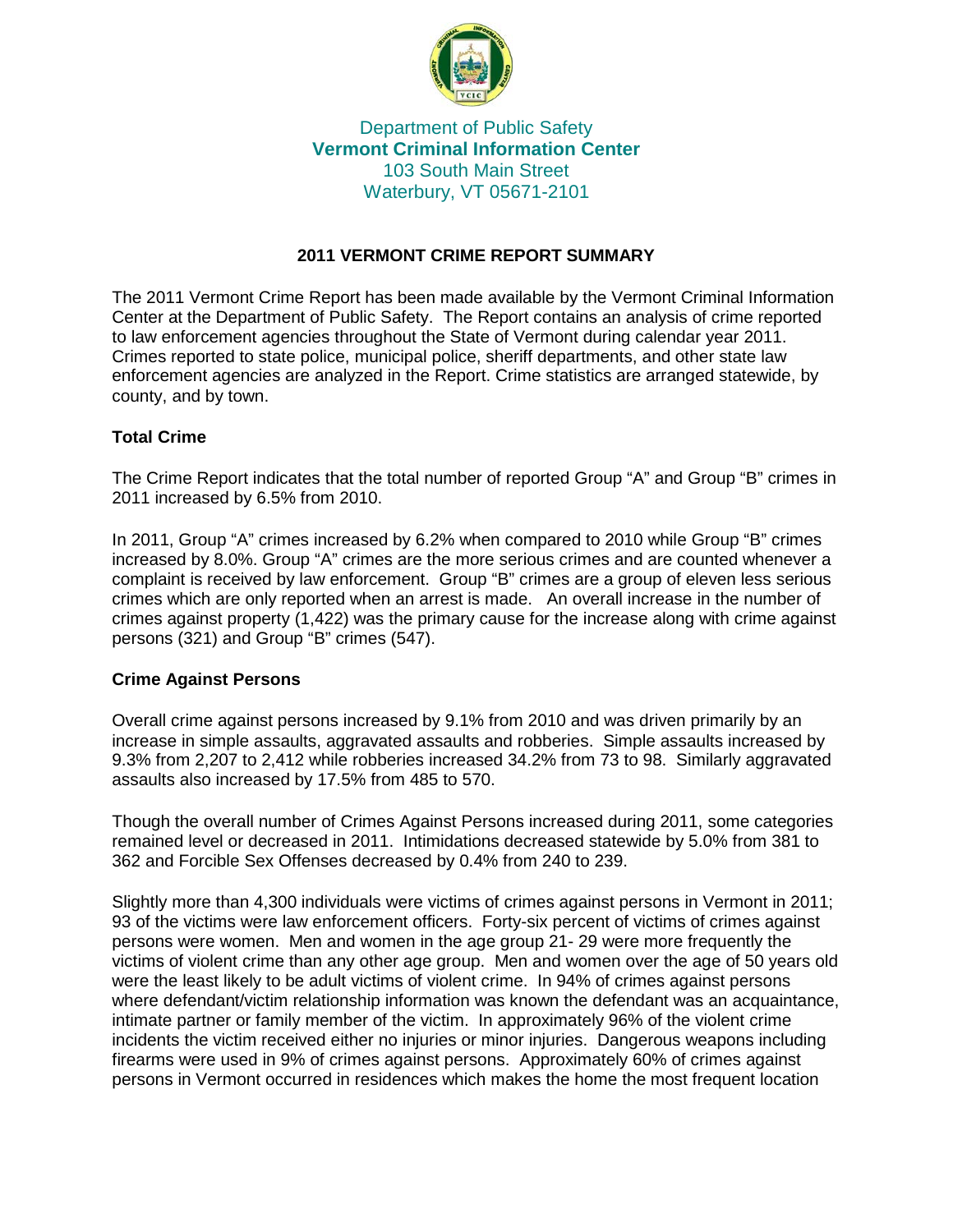

# Department of Public Safety **Vermont Criminal Information Center** 103 South Main Street Waterbury, VT 05671-2101

## **2011 VERMONT CRIME REPORT SUMMARY**

The 2011 Vermont Crime Report has been made available by the Vermont Criminal Information Center at the Department of Public Safety. The Report contains an analysis of crime reported to law enforcement agencies throughout the State of Vermont during calendar year 2011. Crimes reported to state police, municipal police, sheriff departments, and other state law enforcement agencies are analyzed in the Report. Crime statistics are arranged statewide, by county, and by town.

# **Total Crime**

The Crime Report indicates that the total number of reported Group "A" and Group "B" crimes in 2011 increased by 6.5% from 2010.

In 2011, Group "A" crimes increased by 6.2% when compared to 2010 while Group "B" crimes increased by 8.0%. Group "A" crimes are the more serious crimes and are counted whenever a complaint is received by law enforcement. Group "B" crimes are a group of eleven less serious crimes which are only reported when an arrest is made. An overall increase in the number of crimes against property (1,422) was the primary cause for the increase along with crime against persons (321) and Group "B" crimes (547).

## **Crime Against Persons**

Overall crime against persons increased by 9.1% from 2010 and was driven primarily by an increase in simple assaults, aggravated assaults and robberies. Simple assaults increased by 9.3% from 2,207 to 2,412 while robberies increased 34.2% from 73 to 98. Similarly aggravated assaults also increased by 17.5% from 485 to 570.

Though the overall number of Crimes Against Persons increased during 2011, some categories remained level or decreased in 2011. Intimidations decreased statewide by 5.0% from 381 to 362 and Forcible Sex Offenses decreased by 0.4% from 240 to 239.

Slightly more than 4,300 individuals were victims of crimes against persons in Vermont in 2011; 93 of the victims were law enforcement officers. Forty-six percent of victims of crimes against persons were women. Men and women in the age group 21- 29 were more frequently the victims of violent crime than any other age group. Men and women over the age of 50 years old were the least likely to be adult victims of violent crime. In 94% of crimes against persons where defendant/victim relationship information was known the defendant was an acquaintance, intimate partner or family member of the victim. In approximately 96% of the violent crime incidents the victim received either no injuries or minor injuries. Dangerous weapons including firearms were used in 9% of crimes against persons. Approximately 60% of crimes against persons in Vermont occurred in residences which makes the home the most frequent location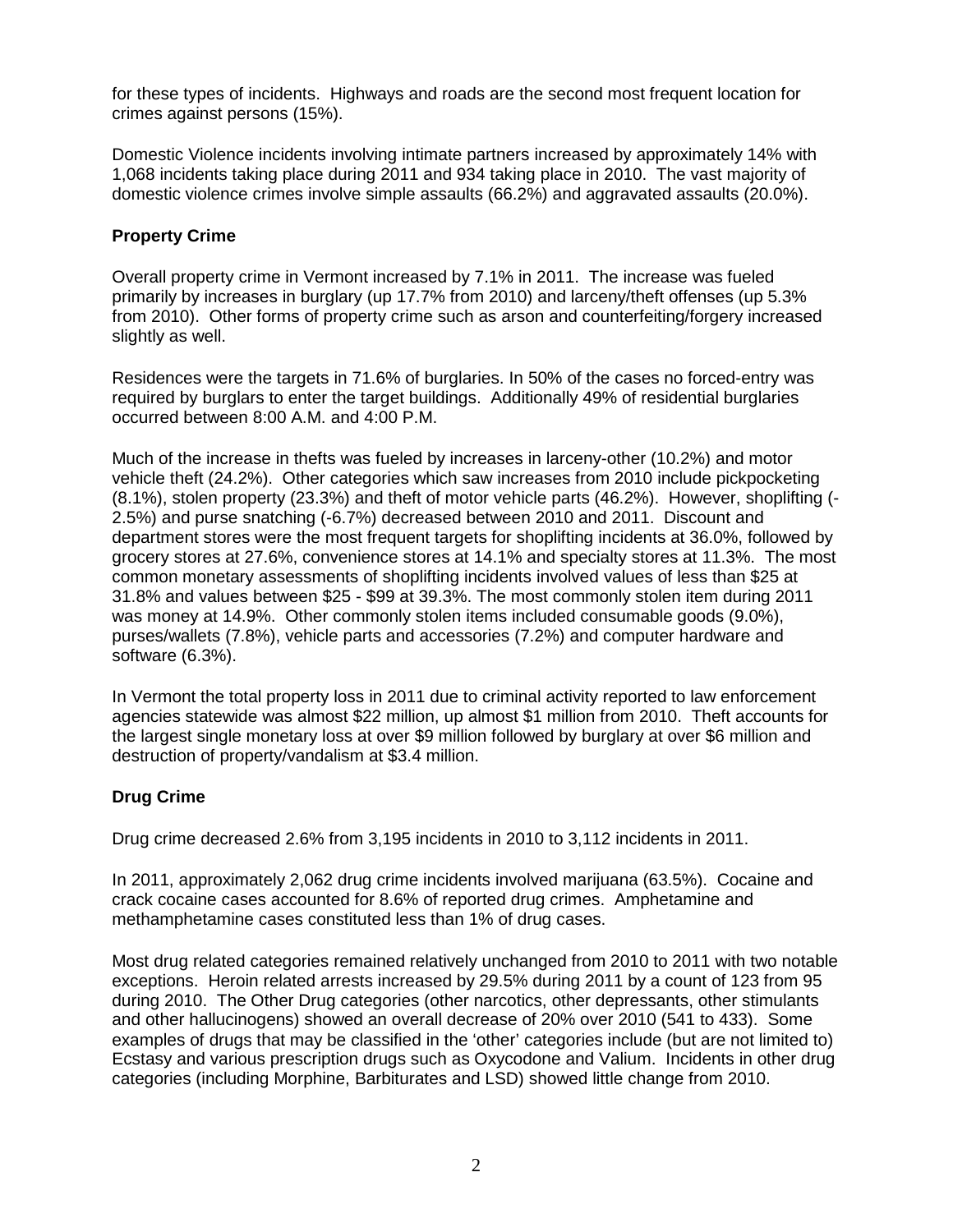for these types of incidents. Highways and roads are the second most frequent location for crimes against persons (15%).

Domestic Violence incidents involving intimate partners increased by approximately 14% with 1,068 incidents taking place during 2011 and 934 taking place in 2010. The vast majority of domestic violence crimes involve simple assaults (66.2%) and aggravated assaults (20.0%).

## **Property Crime**

Overall property crime in Vermont increased by 7.1% in 2011. The increase was fueled primarily by increases in burglary (up 17.7% from 2010) and larceny/theft offenses (up 5.3% from 2010). Other forms of property crime such as arson and counterfeiting/forgery increased slightly as well.

Residences were the targets in 71.6% of burglaries. In 50% of the cases no forced-entry was required by burglars to enter the target buildings. Additionally 49% of residential burglaries occurred between 8:00 A.M. and 4:00 P.M.

Much of the increase in thefts was fueled by increases in larceny-other (10.2%) and motor vehicle theft (24.2%). Other categories which saw increases from 2010 include pickpocketing (8.1%), stolen property (23.3%) and theft of motor vehicle parts (46.2%). However, shoplifting (- 2.5%) and purse snatching (-6.7%) decreased between 2010 and 2011. Discount and department stores were the most frequent targets for shoplifting incidents at 36.0%, followed by grocery stores at 27.6%, convenience stores at 14.1% and specialty stores at 11.3%. The most common monetary assessments of shoplifting incidents involved values of less than \$25 at 31.8% and values between \$25 - \$99 at 39.3%. The most commonly stolen item during 2011 was money at 14.9%. Other commonly stolen items included consumable goods (9.0%), purses/wallets (7.8%), vehicle parts and accessories (7.2%) and computer hardware and software (6.3%).

In Vermont the total property loss in 2011 due to criminal activity reported to law enforcement agencies statewide was almost \$22 million, up almost \$1 million from 2010. Theft accounts for the largest single monetary loss at over \$9 million followed by burglary at over \$6 million and destruction of property/vandalism at \$3.4 million.

## **Drug Crime**

Drug crime decreased 2.6% from 3,195 incidents in 2010 to 3,112 incidents in 2011.

In 2011, approximately 2,062 drug crime incidents involved marijuana (63.5%). Cocaine and crack cocaine cases accounted for 8.6% of reported drug crimes. Amphetamine and methamphetamine cases constituted less than 1% of drug cases.

Most drug related categories remained relatively unchanged from 2010 to 2011 with two notable exceptions. Heroin related arrests increased by 29.5% during 2011 by a count of 123 from 95 during 2010. The Other Drug categories (other narcotics, other depressants, other stimulants and other hallucinogens) showed an overall decrease of 20% over 2010 (541 to 433). Some examples of drugs that may be classified in the 'other' categories include (but are not limited to) Ecstasy and various prescription drugs such as Oxycodone and Valium. Incidents in other drug categories (including Morphine, Barbiturates and LSD) showed little change from 2010.